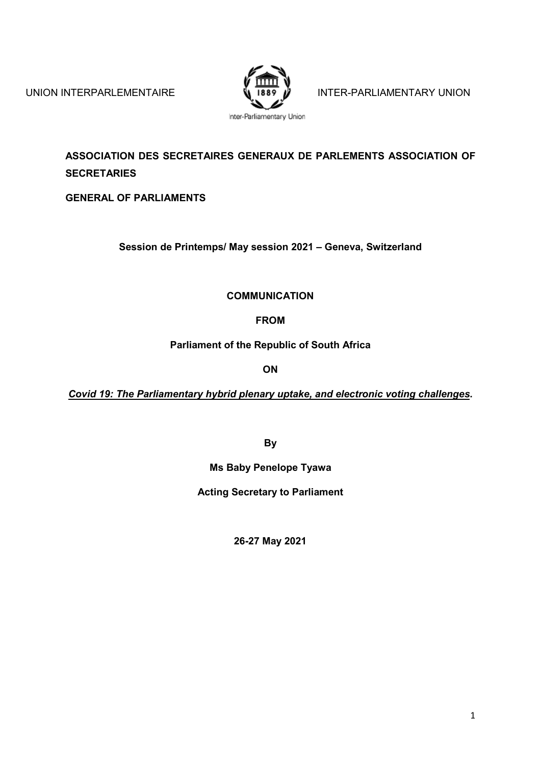

UNION INTERPARLEMENTAIRE  $\sqrt{\frac{1889}{1889}}$  INTER-PARLIAMENTARY UNION

**ASSOCIATION DES SECRETAIRES GENERAUX DE PARLEMENTS ASSOCIATION OF SECRETARIES**

**GENERAL OF PARLIAMENTS**

**Session de Printemps/ May session 2021 – Geneva, Switzerland**

**COMMUNICATION**

**FROM**

**Parliament of the Republic of South Africa**

**ON**

*Covid 19: The Parliamentary hybrid plenary uptake, and electronic voting challenges***.**

**By**

**Ms Baby Penelope Tyawa**

**Acting Secretary to Parliament**

**26-27 May 2021**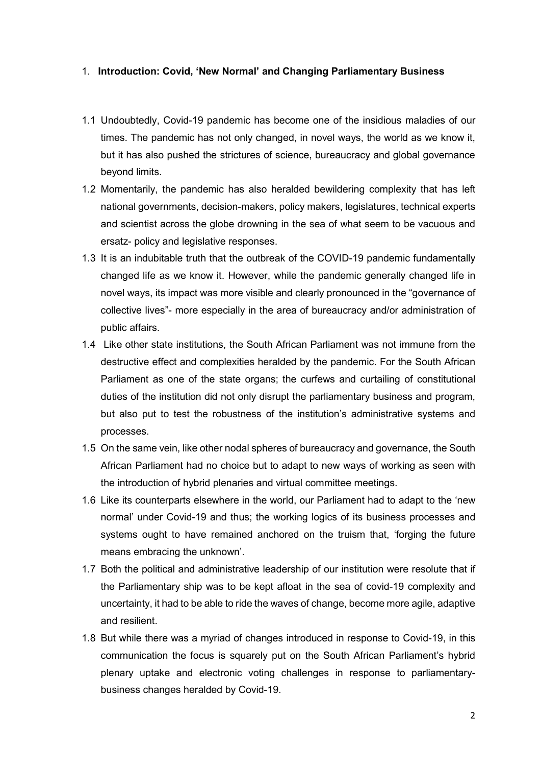### 1. **Introduction: Covid, 'New Normal' and Changing Parliamentary Business**

- 1.1 Undoubtedly, Covid-19 pandemic has become one of the insidious maladies of our times. The pandemic has not only changed, in novel ways, the world as we know it, but it has also pushed the strictures of science, bureaucracy and global governance beyond limits.
- 1.2 Momentarily, the pandemic has also heralded bewildering complexity that has left national governments, decision-makers, policy makers, legislatures, technical experts and scientist across the globe drowning in the sea of what seem to be vacuous and ersatz- policy and legislative responses.
- 1.3 It is an indubitable truth that the outbreak of the COVID-19 pandemic fundamentally changed life as we know it. However, while the pandemic generally changed life in novel ways, its impact was more visible and clearly pronounced in the "governance of collective lives"- more especially in the area of bureaucracy and/or administration of public affairs.
- 1.4 Like other state institutions, the South African Parliament was not immune from the destructive effect and complexities heralded by the pandemic. For the South African Parliament as one of the state organs; the curfews and curtailing of constitutional duties of the institution did not only disrupt the parliamentary business and program, but also put to test the robustness of the institution's administrative systems and processes.
- 1.5 On the same vein, like other nodal spheres of bureaucracy and governance, the South African Parliament had no choice but to adapt to new ways of working as seen with the introduction of hybrid plenaries and virtual committee meetings.
- 1.6 Like its counterparts elsewhere in the world, our Parliament had to adapt to the 'new normal' under Covid-19 and thus; the working logics of its business processes and systems ought to have remained anchored on the truism that, 'forging the future means embracing the unknown'.
- 1.7 Both the political and administrative leadership of our institution were resolute that if the Parliamentary ship was to be kept afloat in the sea of covid-19 complexity and uncertainty, it had to be able to ride the waves of change, become more agile, adaptive and resilient.
- 1.8 But while there was a myriad of changes introduced in response to Covid-19, in this communication the focus is squarely put on the South African Parliament's hybrid plenary uptake and electronic voting challenges in response to parliamentarybusiness changes heralded by Covid-19.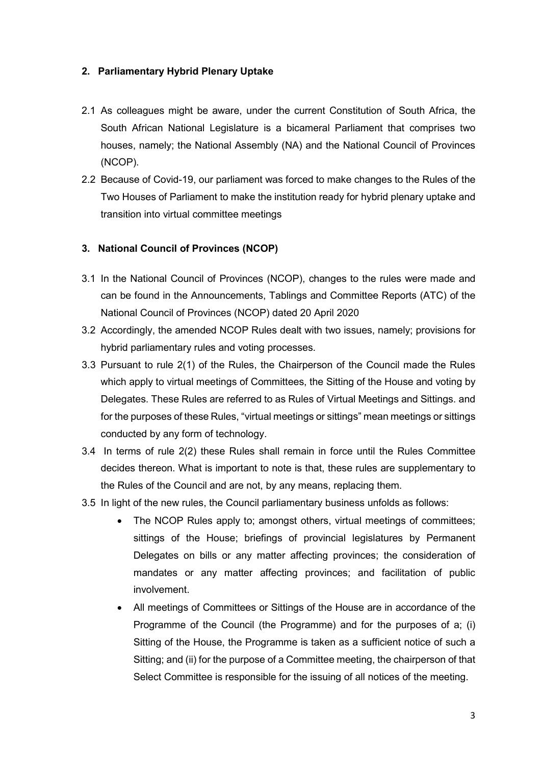## **2. Parliamentary Hybrid Plenary Uptake**

- 2.1 As colleagues might be aware, under the current Constitution of South Africa, the South African National Legislature is a bicameral Parliament that comprises two houses, namely; the National Assembly (NA) and the National Council of Provinces (NCOP).
- 2.2 Because of Covid-19, our parliament was forced to make changes to the Rules of the Two Houses of Parliament to make the institution ready for hybrid plenary uptake and transition into virtual committee meetings

## **3. National Council of Provinces (NCOP)**

- 3.1 In the National Council of Provinces (NCOP), changes to the rules were made and can be found in the Announcements, Tablings and Committee Reports (ATC) of the National Council of Provinces (NCOP) dated 20 April 2020
- 3.2 Accordingly, the amended NCOP Rules dealt with two issues, namely; provisions for hybrid parliamentary rules and voting processes.
- 3.3 Pursuant to rule 2(1) of the Rules, the Chairperson of the Council made the Rules which apply to virtual meetings of Committees, the Sitting of the House and voting by Delegates. These Rules are referred to as Rules of Virtual Meetings and Sittings. and for the purposes of these Rules, "virtual meetings or sittings" mean meetings or sittings conducted by any form of technology.
- 3.4 In terms of rule 2(2) these Rules shall remain in force until the Rules Committee decides thereon. What is important to note is that, these rules are supplementary to the Rules of the Council and are not, by any means, replacing them.
- 3.5 In light of the new rules, the Council parliamentary business unfolds as follows:
	- The NCOP Rules apply to; amongst others, virtual meetings of committees; sittings of the House; briefings of provincial legislatures by Permanent Delegates on bills or any matter affecting provinces; the consideration of mandates or any matter affecting provinces; and facilitation of public involvement.
	- All meetings of Committees or Sittings of the House are in accordance of the Programme of the Council (the Programme) and for the purposes of a; (i) Sitting of the House, the Programme is taken as a sufficient notice of such a Sitting; and (ii) for the purpose of a Committee meeting, the chairperson of that Select Committee is responsible for the issuing of all notices of the meeting.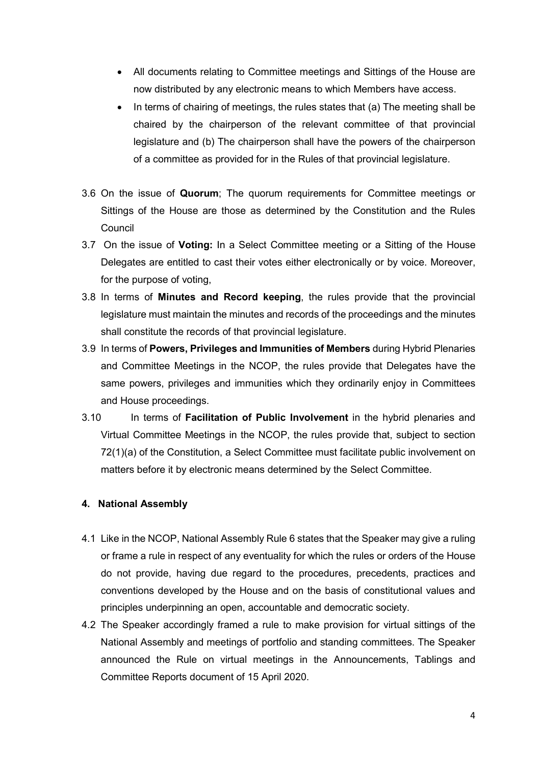- All documents relating to Committee meetings and Sittings of the House are now distributed by any electronic means to which Members have access.
- In terms of chairing of meetings, the rules states that (a) The meeting shall be chaired by the chairperson of the relevant committee of that provincial legislature and (b) The chairperson shall have the powers of the chairperson of a committee as provided for in the Rules of that provincial legislature.
- 3.6 On the issue of **Quorum**; The quorum requirements for Committee meetings or Sittings of the House are those as determined by the Constitution and the Rules Council
- 3.7 On the issue of **Voting:** In a Select Committee meeting or a Sitting of the House Delegates are entitled to cast their votes either electronically or by voice. Moreover, for the purpose of voting,
- 3.8 In terms of **Minutes and Record keeping**, the rules provide that the provincial legislature must maintain the minutes and records of the proceedings and the minutes shall constitute the records of that provincial legislature.
- 3.9 In terms of **Powers, Privileges and Immunities of Members** during Hybrid Plenaries and Committee Meetings in the NCOP, the rules provide that Delegates have the same powers, privileges and immunities which they ordinarily enjoy in Committees and House proceedings.
- 3.10 In terms of **Facilitation of Public Involvement** in the hybrid plenaries and Virtual Committee Meetings in the NCOP, the rules provide that, subject to section 72(1)(a) of the Constitution, a Select Committee must facilitate public involvement on matters before it by electronic means determined by the Select Committee.

## **4. National Assembly**

- 4.1 Like in the NCOP, National Assembly Rule 6 states that the Speaker may give a ruling or frame a rule in respect of any eventuality for which the rules or orders of the House do not provide, having due regard to the procedures, precedents, practices and conventions developed by the House and on the basis of constitutional values and principles underpinning an open, accountable and democratic society.
- 4.2 The Speaker accordingly framed a rule to make provision for virtual sittings of the National Assembly and meetings of portfolio and standing committees. The Speaker announced the Rule on virtual meetings in the Announcements, Tablings and Committee Reports document of 15 April 2020.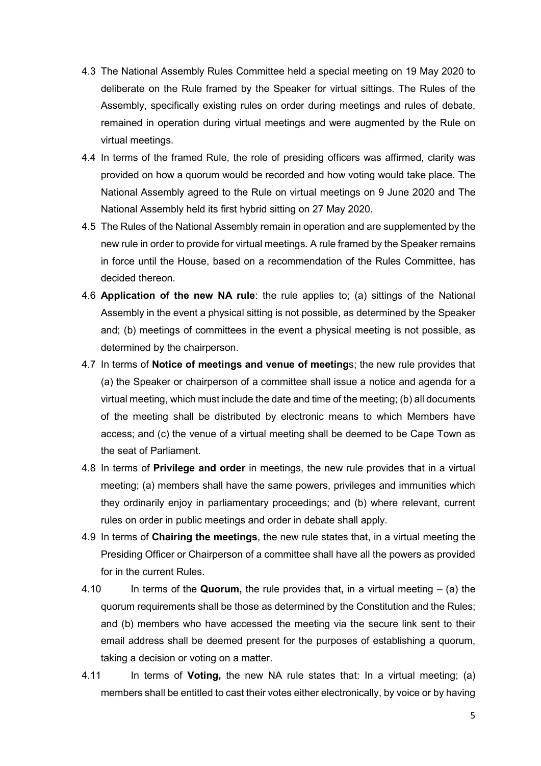- 4.3 The National Assembly Rules Committee held a special meeting on 19 May 2020 to deliberate on the Rule framed by the Speaker for virtual sittings. The Rules of the Assembly, specifically existing rules on order during meetings and rules of debate, remained in operation during virtual meetings and were augmented by the Rule on virtual meetings.
- 4.4 In terms of the framed Rule, the role of presiding officers was affirmed, clarity was provided on how a quorum would be recorded and how voting would take place. The National Assembly agreed to the Rule on virtual meetings on 9 June 2020 and The National Assembly held its first hybrid sitting on 27 May 2020.
- 4.5 The Rules of the National Assembly remain in operation and are supplemented by the new rule in order to provide for virtual meetings. A rule framed by the Speaker remains in force until the House, based on a recommendation of the Rules Committee, has decided thereon.
- 4.6 **Application of the new NA rule**: the rule applies to; (a) sittings of the National Assembly in the event a physical sitting is not possible, as determined by the Speaker and; (b) meetings of committees in the event a physical meeting is not possible, as determined by the chairperson.
- 4.7 In terms of **Notice of meetings and venue of meeting**s; the new rule provides that (a) the Speaker or chairperson of a committee shall issue a notice and agenda for a virtual meeting, which must include the date and time of the meeting; (b) all documents of the meeting shall be distributed by electronic means to which Members have access; and (c) the venue of a virtual meeting shall be deemed to be Cape Town as the seat of Parliament.
- 4.8 In terms of **Privilege and order** in meetings, the new rule provides that in a virtual meeting; (a) members shall have the same powers, privileges and immunities which they ordinarily enjoy in parliamentary proceedings; and (b) where relevant, current rules on order in public meetings and order in debate shall apply.
- 4.9 In terms of **Chairing the meetings**, the new rule states that, in a virtual meeting the Presiding Officer or Chairperson of a committee shall have all the powers as provided for in the current Rules.
- 4.10 In terms of the **Quorum,** the rule provides that**,** in a virtual meeting (a) the quorum requirements shall be those as determined by the Constitution and the Rules; and (b) members who have accessed the meeting via the secure link sent to their email address shall be deemed present for the purposes of establishing a quorum, taking a decision or voting on a matter.
- 4.11 In terms of **Voting,** the new NA rule states that: In a virtual meeting; (a) members shall be entitled to cast their votes either electronically, by voice or by having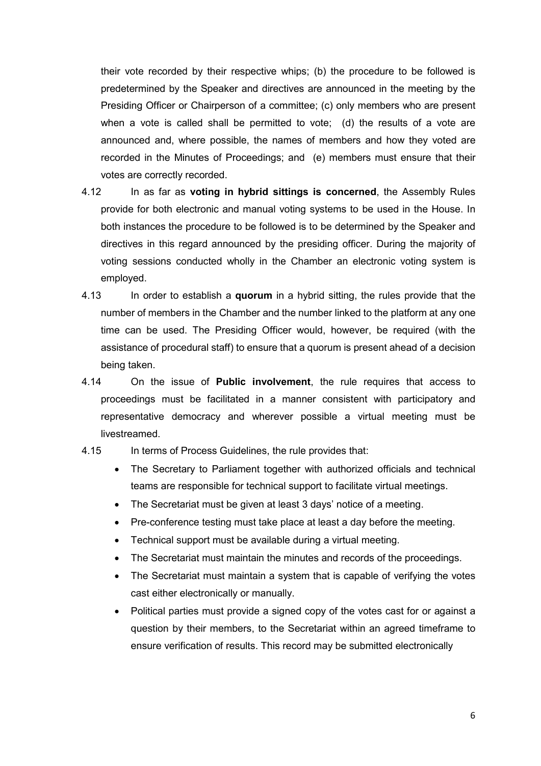their vote recorded by their respective whips; (b) the procedure to be followed is predetermined by the Speaker and directives are announced in the meeting by the Presiding Officer or Chairperson of a committee; (c) only members who are present when a vote is called shall be permitted to vote; (d) the results of a vote are announced and, where possible, the names of members and how they voted are recorded in the Minutes of Proceedings; and (e) members must ensure that their votes are correctly recorded.

- 4.12 In as far as **voting in hybrid sittings is concerned**, the Assembly Rules provide for both electronic and manual voting systems to be used in the House. In both instances the procedure to be followed is to be determined by the Speaker and directives in this regard announced by the presiding officer. During the majority of voting sessions conducted wholly in the Chamber an electronic voting system is employed.
- 4.13 In order to establish a **quorum** in a hybrid sitting, the rules provide that the number of members in the Chamber and the number linked to the platform at any one time can be used. The Presiding Officer would, however, be required (with the assistance of procedural staff) to ensure that a quorum is present ahead of a decision being taken.
- 4.14 On the issue of **Public involvement**, the rule requires that access to proceedings must be facilitated in a manner consistent with participatory and representative democracy and wherever possible a virtual meeting must be livestreamed.
- 4.15 In terms of Process Guidelines, the rule provides that:
	- The Secretary to Parliament together with authorized officials and technical teams are responsible for technical support to facilitate virtual meetings.
	- The Secretariat must be given at least 3 days' notice of a meeting.
	- Pre-conference testing must take place at least a day before the meeting.
	- Technical support must be available during a virtual meeting.
	- The Secretariat must maintain the minutes and records of the proceedings.
	- The Secretariat must maintain a system that is capable of verifying the votes cast either electronically or manually.
	- Political parties must provide a signed copy of the votes cast for or against a question by their members, to the Secretariat within an agreed timeframe to ensure verification of results. This record may be submitted electronically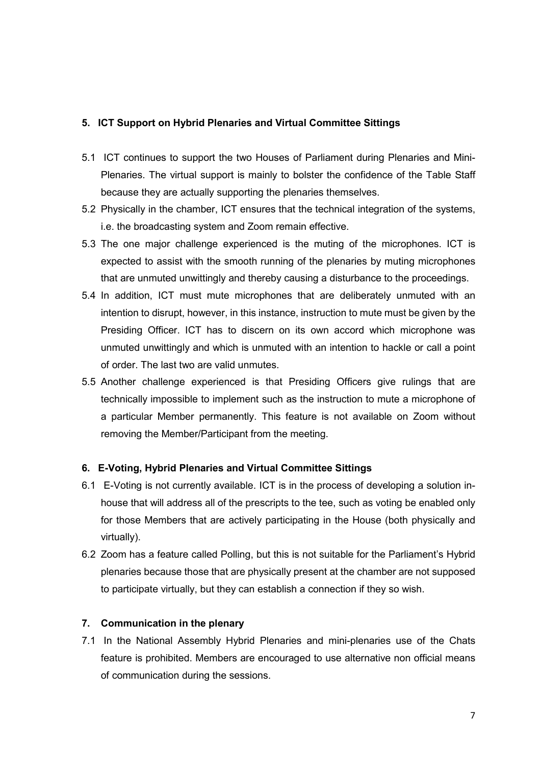### **5. ICT Support on Hybrid Plenaries and Virtual Committee Sittings**

- 5.1 ICT continues to support the two Houses of Parliament during Plenaries and Mini-Plenaries. The virtual support is mainly to bolster the confidence of the Table Staff because they are actually supporting the plenaries themselves.
- 5.2 Physically in the chamber, ICT ensures that the technical integration of the systems, i.e. the broadcasting system and Zoom remain effective.
- 5.3 The one major challenge experienced is the muting of the microphones. ICT is expected to assist with the smooth running of the plenaries by muting microphones that are unmuted unwittingly and thereby causing a disturbance to the proceedings.
- 5.4 In addition, ICT must mute microphones that are deliberately unmuted with an intention to disrupt, however, in this instance, instruction to mute must be given by the Presiding Officer. ICT has to discern on its own accord which microphone was unmuted unwittingly and which is unmuted with an intention to hackle or call a point of order. The last two are valid unmutes.
- 5.5 Another challenge experienced is that Presiding Officers give rulings that are technically impossible to implement such as the instruction to mute a microphone of a particular Member permanently. This feature is not available on Zoom without removing the Member/Participant from the meeting.

#### **6. E-Voting, Hybrid Plenaries and Virtual Committee Sittings**

- 6.1 E-Voting is not currently available. ICT is in the process of developing a solution inhouse that will address all of the prescripts to the tee, such as voting be enabled only for those Members that are actively participating in the House (both physically and virtually).
- 6.2 Zoom has a feature called Polling, but this is not suitable for the Parliament's Hybrid plenaries because those that are physically present at the chamber are not supposed to participate virtually, but they can establish a connection if they so wish.

### **7. Communication in the plenary**

7.1 In the National Assembly Hybrid Plenaries and mini-plenaries use of the Chats feature is prohibited. Members are encouraged to use alternative non official means of communication during the sessions.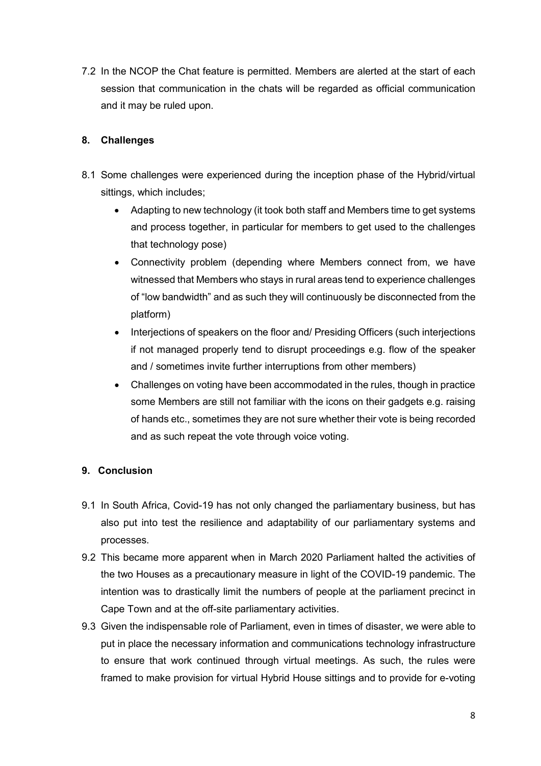7.2 In the NCOP the Chat feature is permitted. Members are alerted at the start of each session that communication in the chats will be regarded as official communication and it may be ruled upon.

# **8. Challenges**

- 8.1 Some challenges were experienced during the inception phase of the Hybrid/virtual sittings, which includes;
	- Adapting to new technology (it took both staff and Members time to get systems and process together, in particular for members to get used to the challenges that technology pose)
	- Connectivity problem (depending where Members connect from, we have witnessed that Members who stays in rural areas tend to experience challenges of "low bandwidth" and as such they will continuously be disconnected from the platform)
	- Interjections of speakers on the floor and/ Presiding Officers (such interjections if not managed properly tend to disrupt proceedings e.g. flow of the speaker and / sometimes invite further interruptions from other members)
	- Challenges on voting have been accommodated in the rules, though in practice some Members are still not familiar with the icons on their gadgets e.g. raising of hands etc., sometimes they are not sure whether their vote is being recorded and as such repeat the vote through voice voting.

# **9. Conclusion**

- 9.1 In South Africa, Covid-19 has not only changed the parliamentary business, but has also put into test the resilience and adaptability of our parliamentary systems and processes.
- 9.2 This became more apparent when in March 2020 Parliament halted the activities of the two Houses as a precautionary measure in light of the COVID-19 pandemic. The intention was to drastically limit the numbers of people at the parliament precinct in Cape Town and at the off-site parliamentary activities.
- 9.3 Given the indispensable role of Parliament, even in times of disaster, we were able to put in place the necessary information and communications technology infrastructure to ensure that work continued through virtual meetings. As such, the rules were framed to make provision for virtual Hybrid House sittings and to provide for e-voting